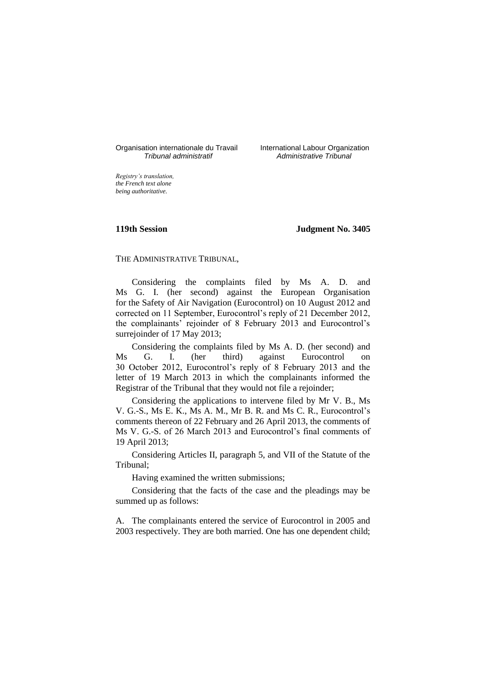# Organisation internationale du Travail liternational Labour Organization<br> *Tribunal administratif Administrative Tribunal*

*Tribunal administratif Administrative Tribunal*

*Registry's translation, the French text alone being authoritative.*

#### **119th Session Judgment No. 3405**

## THE ADMINISTRATIVE TRIBUNAL,

Considering the complaints filed by Ms A. D. and Ms G. I. (her second) against the European Organisation for the Safety of Air Navigation (Eurocontrol) on 10 August 2012 and corrected on 11 September, Eurocontrol's reply of 21 December 2012, the complainants' rejoinder of 8 February 2013 and Eurocontrol's surrejoinder of 17 May 2013;

Considering the complaints filed by Ms A. D. (her second) and Ms G. I. (her third) against Eurocontrol on 30 October 2012, Eurocontrol's reply of 8 February 2013 and the letter of 19 March 2013 in which the complainants informed the Registrar of the Tribunal that they would not file a rejoinder;

Considering the applications to intervene filed by Mr V. B., Ms V. G.-S., Ms E. K., Ms A. M., Mr B. R. and Ms C. R., Eurocontrol's comments thereon of 22 February and 26 April 2013, the comments of Ms V. G.-S. of 26 March 2013 and Eurocontrol's final comments of 19 April 2013;

Considering Articles II, paragraph 5, and VII of the Statute of the Tribunal;

Having examined the written submissions;

Considering that the facts of the case and the pleadings may be summed up as follows:

A. The complainants entered the service of Eurocontrol in 2005 and 2003 respectively. They are both married. One has one dependent child;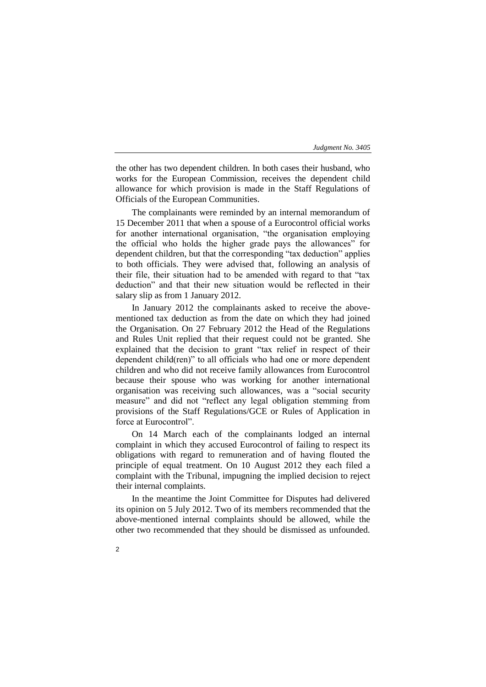the other has two dependent children. In both cases their husband, who works for the European Commission, receives the dependent child allowance for which provision is made in the Staff Regulations of Officials of the European Communities.

The complainants were reminded by an internal memorandum of 15 December 2011 that when a spouse of a Eurocontrol official works for another international organisation, "the organisation employing the official who holds the higher grade pays the allowances" for dependent children, but that the corresponding "tax deduction" applies to both officials. They were advised that, following an analysis of their file, their situation had to be amended with regard to that "tax deduction" and that their new situation would be reflected in their salary slip as from 1 January 2012.

In January 2012 the complainants asked to receive the abovementioned tax deduction as from the date on which they had joined the Organisation. On 27 February 2012 the Head of the Regulations and Rules Unit replied that their request could not be granted. She explained that the decision to grant "tax relief in respect of their dependent child(ren)" to all officials who had one or more dependent children and who did not receive family allowances from Eurocontrol because their spouse who was working for another international organisation was receiving such allowances, was a "social security measure" and did not "reflect any legal obligation stemming from provisions of the Staff Regulations/GCE or Rules of Application in force at Eurocontrol".

On 14 March each of the complainants lodged an internal complaint in which they accused Eurocontrol of failing to respect its obligations with regard to remuneration and of having flouted the principle of equal treatment. On 10 August 2012 they each filed a complaint with the Tribunal, impugning the implied decision to reject their internal complaints.

In the meantime the Joint Committee for Disputes had delivered its opinion on 5 July 2012. Two of its members recommended that the above-mentioned internal complaints should be allowed, while the other two recommended that they should be dismissed as unfounded.

 $\overline{2}$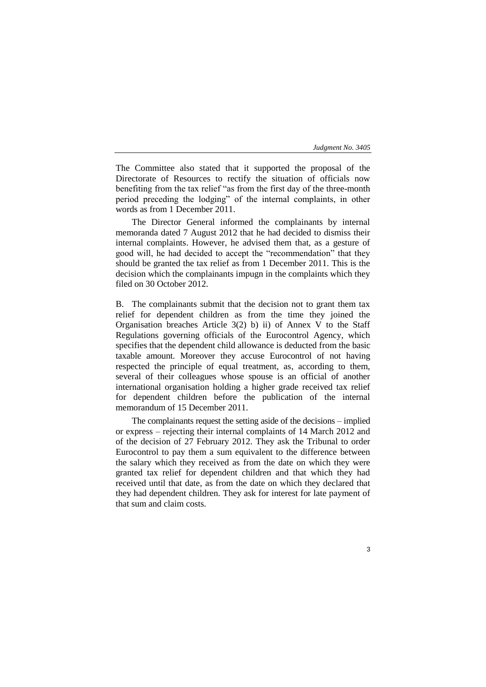The Committee also stated that it supported the proposal of the Directorate of Resources to rectify the situation of officials now benefiting from the tax relief "as from the first day of the three-month period preceding the lodging" of the internal complaints, in other words as from 1 December 2011.

The Director General informed the complainants by internal memoranda dated 7 August 2012 that he had decided to dismiss their internal complaints. However, he advised them that, as a gesture of good will, he had decided to accept the "recommendation" that they should be granted the tax relief as from 1 December 2011. This is the decision which the complainants impugn in the complaints which they filed on 30 October 2012.

B. The complainants submit that the decision not to grant them tax relief for dependent children as from the time they joined the Organisation breaches Article 3(2) b) ii) of Annex V to the Staff Regulations governing officials of the Eurocontrol Agency, which specifies that the dependent child allowance is deducted from the basic taxable amount. Moreover they accuse Eurocontrol of not having respected the principle of equal treatment, as, according to them, several of their colleagues whose spouse is an official of another international organisation holding a higher grade received tax relief for dependent children before the publication of the internal memorandum of 15 December 2011.

The complainants request the setting aside of the decisions – implied or express – rejecting their internal complaints of 14 March 2012 and of the decision of 27 February 2012. They ask the Tribunal to order Eurocontrol to pay them a sum equivalent to the difference between the salary which they received as from the date on which they were granted tax relief for dependent children and that which they had received until that date, as from the date on which they declared that they had dependent children. They ask for interest for late payment of that sum and claim costs.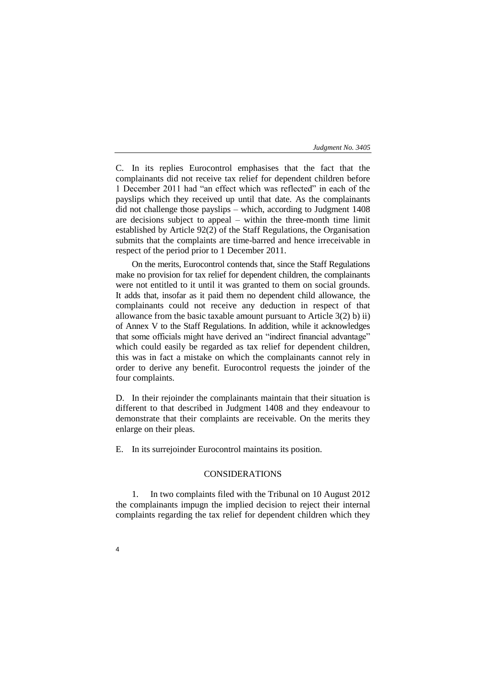C. In its replies Eurocontrol emphasises that the fact that the complainants did not receive tax relief for dependent children before 1 December 2011 had "an effect which was reflected" in each of the payslips which they received up until that date. As the complainants did not challenge those payslips – which, according to Judgment 1408 are decisions subject to appeal – within the three-month time limit established by Article 92(2) of the Staff Regulations, the Organisation submits that the complaints are time-barred and hence irreceivable in respect of the period prior to 1 December 2011.

On the merits, Eurocontrol contends that, since the Staff Regulations make no provision for tax relief for dependent children, the complainants were not entitled to it until it was granted to them on social grounds. It adds that, insofar as it paid them no dependent child allowance, the complainants could not receive any deduction in respect of that allowance from the basic taxable amount pursuant to Article 3(2) b) ii) of Annex V to the Staff Regulations. In addition, while it acknowledges that some officials might have derived an "indirect financial advantage" which could easily be regarded as tax relief for dependent children, this was in fact a mistake on which the complainants cannot rely in order to derive any benefit. Eurocontrol requests the joinder of the four complaints.

D. In their rejoinder the complainants maintain that their situation is different to that described in Judgment 1408 and they endeavour to demonstrate that their complaints are receivable. On the merits they enlarge on their pleas.

E. In its surrejoinder Eurocontrol maintains its position.

### CONSIDERATIONS

1. In two complaints filed with the Tribunal on 10 August 2012 the complainants impugn the implied decision to reject their internal complaints regarding the tax relief for dependent children which they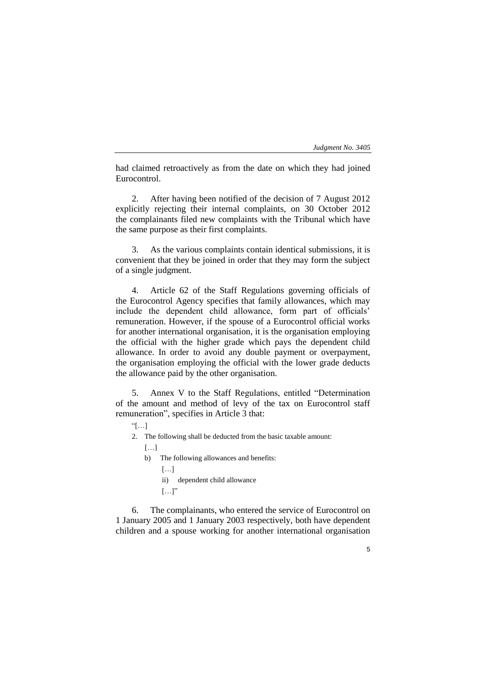5

had claimed retroactively as from the date on which they had joined Eurocontrol.

2. After having been notified of the decision of 7 August 2012 explicitly rejecting their internal complaints, on 30 October 2012 the complainants filed new complaints with the Tribunal which have the same purpose as their first complaints.

3. As the various complaints contain identical submissions, it is convenient that they be joined in order that they may form the subject of a single judgment.

4. Article 62 of the Staff Regulations governing officials of the Eurocontrol Agency specifies that family allowances, which may include the dependent child allowance, form part of officials' remuneration. However, if the spouse of a Eurocontrol official works for another international organisation, it is the organisation employing the official with the higher grade which pays the dependent child allowance. In order to avoid any double payment or overpayment, the organisation employing the official with the lower grade deducts the allowance paid by the other organisation.

5. Annex V to the Staff Regulations, entitled "Determination of the amount and method of levy of the tax on Eurocontrol staff remuneration", specifies in Article 3 that:

- "[…]
- 2. The following shall be deducted from the basic taxable amount:  $[...]$ 
	- b) The following allowances and benefits:
		- […]
			- ii) dependent child allowance
			- $[\ldots]$ "

6. The complainants, who entered the service of Eurocontrol on 1 January 2005 and 1 January 2003 respectively, both have dependent children and a spouse working for another international organisation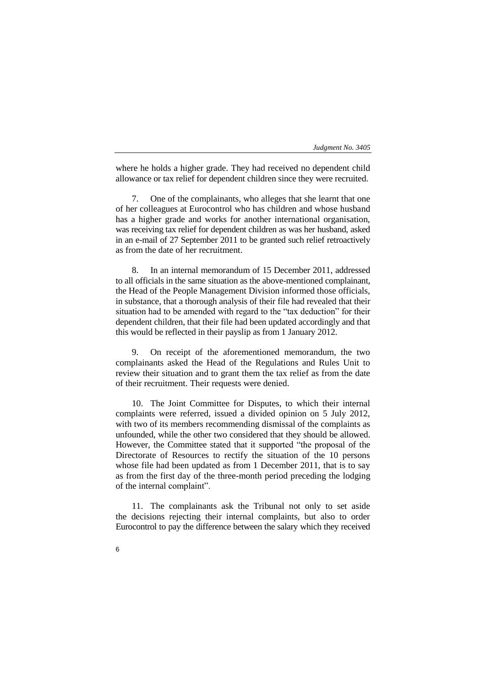where he holds a higher grade. They had received no dependent child allowance or tax relief for dependent children since they were recruited.

7. One of the complainants, who alleges that she learnt that one of her colleagues at Eurocontrol who has children and whose husband has a higher grade and works for another international organisation, was receiving tax relief for dependent children as was her husband, asked in an e-mail of 27 September 2011 to be granted such relief retroactively as from the date of her recruitment.

8. In an internal memorandum of 15 December 2011, addressed to all officials in the same situation as the above-mentioned complainant, the Head of the People Management Division informed those officials, in substance, that a thorough analysis of their file had revealed that their situation had to be amended with regard to the "tax deduction" for their dependent children, that their file had been updated accordingly and that this would be reflected in their payslip as from 1 January 2012.

9. On receipt of the aforementioned memorandum, the two complainants asked the Head of the Regulations and Rules Unit to review their situation and to grant them the tax relief as from the date of their recruitment. Their requests were denied.

10. The Joint Committee for Disputes, to which their internal complaints were referred, issued a divided opinion on 5 July 2012, with two of its members recommending dismissal of the complaints as unfounded, while the other two considered that they should be allowed. However, the Committee stated that it supported "the proposal of the Directorate of Resources to rectify the situation of the 10 persons whose file had been updated as from 1 December 2011, that is to say as from the first day of the three-month period preceding the lodging of the internal complaint".

11. The complainants ask the Tribunal not only to set aside the decisions rejecting their internal complaints, but also to order Eurocontrol to pay the difference between the salary which they received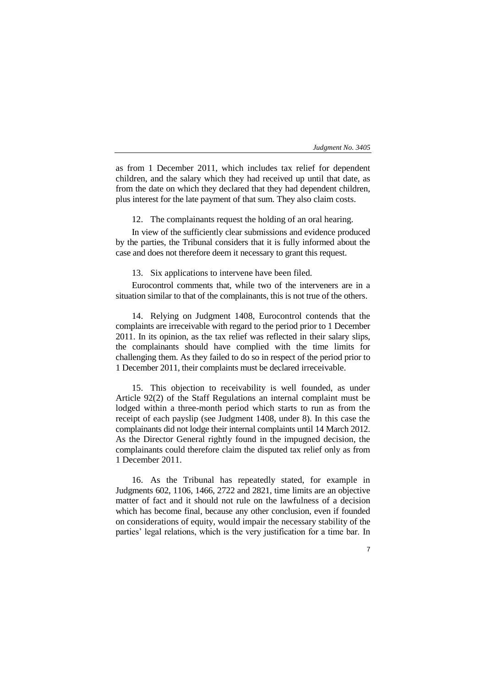as from 1 December 2011, which includes tax relief for dependent children, and the salary which they had received up until that date, as from the date on which they declared that they had dependent children, plus interest for the late payment of that sum. They also claim costs.

12. The complainants request the holding of an oral hearing.

In view of the sufficiently clear submissions and evidence produced by the parties, the Tribunal considers that it is fully informed about the case and does not therefore deem it necessary to grant this request.

13. Six applications to intervene have been filed.

Eurocontrol comments that, while two of the interveners are in a situation similar to that of the complainants, this is not true of the others.

14. Relying on Judgment 1408, Eurocontrol contends that the complaints are irreceivable with regard to the period prior to 1 December 2011. In its opinion, as the tax relief was reflected in their salary slips, the complainants should have complied with the time limits for challenging them. As they failed to do so in respect of the period prior to 1 December 2011, their complaints must be declared irreceivable.

15. This objection to receivability is well founded, as under Article 92(2) of the Staff Regulations an internal complaint must be lodged within a three-month period which starts to run as from the receipt of each payslip (see Judgment 1408, under 8). In this case the complainants did not lodge their internal complaints until 14 March 2012. As the Director General rightly found in the impugned decision, the complainants could therefore claim the disputed tax relief only as from 1 December 2011.

16. As the Tribunal has repeatedly stated, for example in Judgments 602, 1106, 1466, 2722 and 2821, time limits are an objective matter of fact and it should not rule on the lawfulness of a decision which has become final, because any other conclusion, even if founded on considerations of equity, would impair the necessary stability of the parties' legal relations, which is the very justification for a time bar. In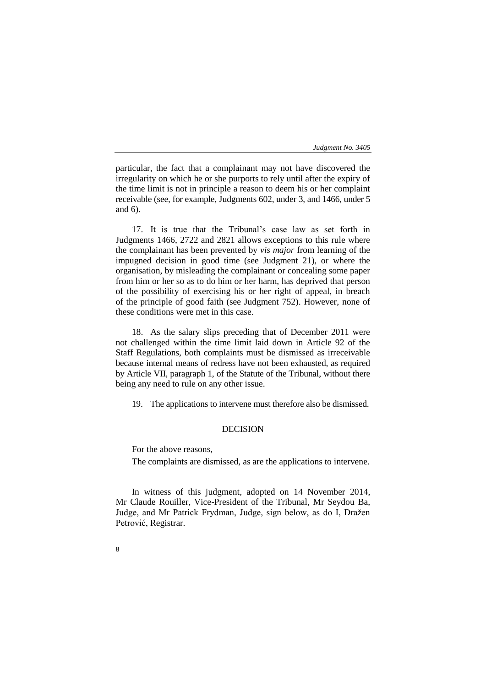particular, the fact that a complainant may not have discovered the irregularity on which he or she purports to rely until after the expiry of the time limit is not in principle a reason to deem his or her complaint receivable (see, for example, Judgments 602, under 3, and 1466, under 5 and 6).

17. It is true that the Tribunal's case law as set forth in Judgments 1466, 2722 and 2821 allows exceptions to this rule where the complainant has been prevented by *vis major* from learning of the impugned decision in good time (see Judgment 21), or where the organisation, by misleading the complainant or concealing some paper from him or her so as to do him or her harm, has deprived that person of the possibility of exercising his or her right of appeal, in breach of the principle of good faith (see Judgment 752). However, none of these conditions were met in this case.

18. As the salary slips preceding that of December 2011 were not challenged within the time limit laid down in Article 92 of the Staff Regulations, both complaints must be dismissed as irreceivable because internal means of redress have not been exhausted, as required by Article VII, paragraph 1, of the Statute of the Tribunal, without there being any need to rule on any other issue.

19. The applications to intervene must therefore also be dismissed.

### **DECISION**

For the above reasons,

The complaints are dismissed, as are the applications to intervene.

In witness of this judgment, adopted on 14 November 2014, Mr Claude Rouiller, Vice-President of the Tribunal, Mr Seydou Ba, Judge, and Mr Patrick Frydman, Judge, sign below, as do I, Dražen Petrović, Registrar.